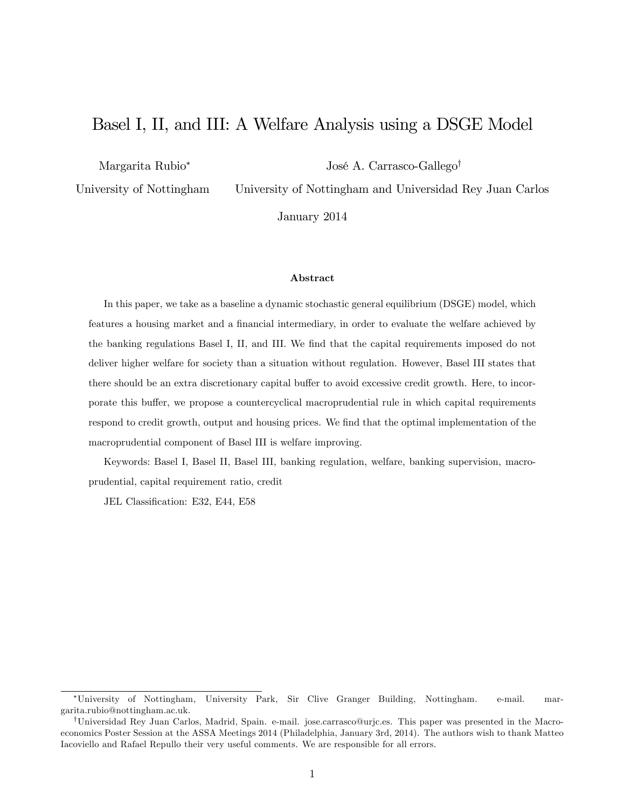# Basel I, II, and III: A Welfare Analysis using a DSGE Model

Margarita Rubio

José A. Carrasco-Gallego<sup>†</sup>

University of Nottingham

University of Nottingham and Universidad Rey Juan Carlos

January 2014

#### Abstract

In this paper, we take as a baseline a dynamic stochastic general equilibrium (DSGE) model, which features a housing market and a financial intermediary, in order to evaluate the welfare achieved by the banking regulations Basel I, II, and III. We find that the capital requirements imposed do not deliver higher welfare for society than a situation without regulation. However, Basel III states that there should be an extra discretionary capital buffer to avoid excessive credit growth. Here, to incorporate this buffer, we propose a countercyclical macroprudential rule in which capital requirements respond to credit growth, output and housing prices. We find that the optimal implementation of the macroprudential component of Basel III is welfare improving.

Keywords: Basel I, Basel II, Basel III, banking regulation, welfare, banking supervision, macroprudential, capital requirement ratio, credit

JEL Classification: E32, E44, E58

University of Nottingham, University Park, Sir Clive Granger Building, Nottingham. e-mail. margarita.rubio@nottingham.ac.uk.

yUniversidad Rey Juan Carlos, Madrid, Spain. e-mail. jose.carrasco@urjc.es. This paper was presented in the Macroeconomics Poster Session at the ASSA Meetings 2014 (Philadelphia, January 3rd, 2014). The authors wish to thank Matteo Iacoviello and Rafael Repullo their very useful comments. We are responsible for all errors.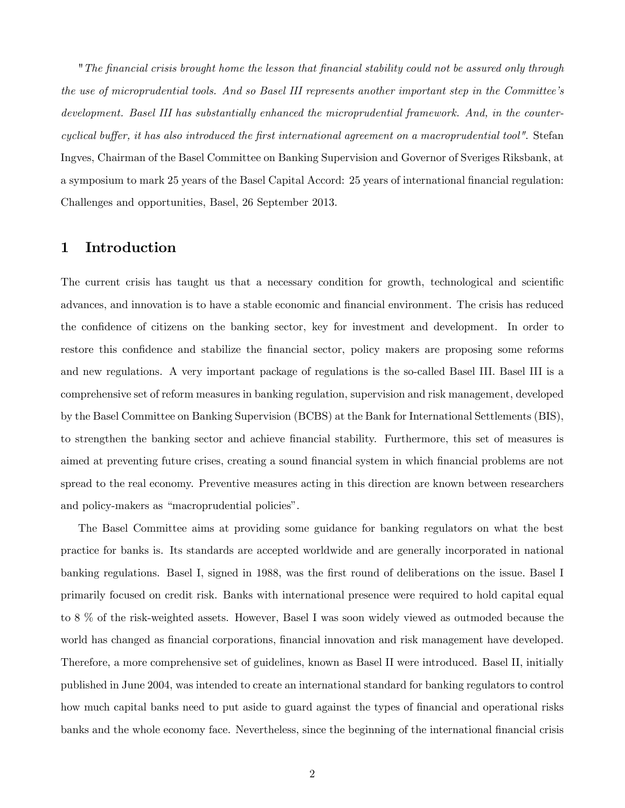"The Önancial crisis brought home the lesson that Önancial stability could not be assured only through the use of microprudential tools. And so Basel III represents another important step in the Committee's development. Basel III has substantially enhanced the microprudential framework. And, in the countercyclical buffer, it has also introduced the first international agreement on a macroprudential tool". Stefan Ingves, Chairman of the Basel Committee on Banking Supervision and Governor of Sveriges Riksbank, at a symposium to mark 25 years of the Basel Capital Accord: 25 years of international financial regulation: Challenges and opportunities, Basel, 26 September 2013.

## 1 Introduction

The current crisis has taught us that a necessary condition for growth, technological and scientific advances, and innovation is to have a stable economic and financial environment. The crisis has reduced the confidence of citizens on the banking sector, key for investment and development. In order to restore this confidence and stabilize the financial sector, policy makers are proposing some reforms and new regulations. A very important package of regulations is the so-called Basel III. Basel III is a comprehensive set of reform measures in banking regulation, supervision and risk management, developed by the Basel Committee on Banking Supervision (BCBS) at the Bank for International Settlements (BIS), to strengthen the banking sector and achieve financial stability. Furthermore, this set of measures is aimed at preventing future crises, creating a sound financial system in which financial problems are not spread to the real economy. Preventive measures acting in this direction are known between researchers and policy-makers as "macroprudential policies".

The Basel Committee aims at providing some guidance for banking regulators on what the best practice for banks is. Its standards are accepted worldwide and are generally incorporated in national banking regulations. Basel I, signed in 1988, was the first round of deliberations on the issue. Basel I primarily focused on credit risk. Banks with international presence were required to hold capital equal to 8 % of the risk-weighted assets. However, Basel I was soon widely viewed as outmoded because the world has changed as financial corporations, financial innovation and risk management have developed. Therefore, a more comprehensive set of guidelines, known as Basel II were introduced. Basel II, initially published in June 2004, was intended to create an international standard for banking regulators to control how much capital banks need to put aside to guard against the types of financial and operational risks banks and the whole economy face. Nevertheless, since the beginning of the international financial crisis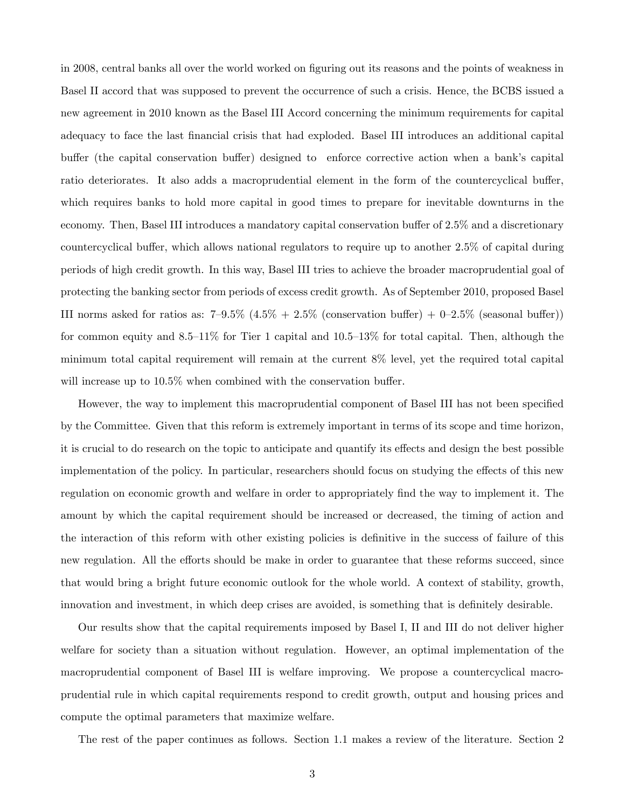in 2008, central banks all over the world worked on figuring out its reasons and the points of weakness in Basel II accord that was supposed to prevent the occurrence of such a crisis. Hence, the BCBS issued a new agreement in 2010 known as the Basel III Accord concerning the minimum requirements for capital adequacy to face the last Önancial crisis that had exploded. Basel III introduces an additional capital buffer (the capital conservation buffer) designed to enforce corrective action when a bank's capital ratio deteriorates. It also adds a macroprudential element in the form of the countercyclical buffer, which requires banks to hold more capital in good times to prepare for inevitable downturns in the economy. Then, Basel III introduces a mandatory capital conservation buffer of 2.5% and a discretionary countercyclical buffer, which allows national regulators to require up to another 2.5% of capital during periods of high credit growth. In this way, Basel III tries to achieve the broader macroprudential goal of protecting the banking sector from periods of excess credit growth. As of September 2010, proposed Basel III norms asked for ratios as:  $7-9.5\%$   $(4.5\% + 2.5\%$  (conservation buffer) + 0-2.5% (seasonal buffer)) for common equity and  $8.5-11\%$  for Tier 1 capital and  $10.5-13\%$  for total capital. Then, although the minimum total capital requirement will remain at the current 8% level, yet the required total capital will increase up to  $10.5\%$  when combined with the conservation buffer.

However, the way to implement this macroprudential component of Basel III has not been specified by the Committee. Given that this reform is extremely important in terms of its scope and time horizon, it is crucial to do research on the topic to anticipate and quantify its effects and design the best possible implementation of the policy. In particular, researchers should focus on studying the effects of this new regulation on economic growth and welfare in order to appropriately find the way to implement it. The amount by which the capital requirement should be increased or decreased, the timing of action and the interaction of this reform with other existing policies is definitive in the success of failure of this new regulation. All the efforts should be make in order to guarantee that these reforms succeed, since that would bring a bright future economic outlook for the whole world. A context of stability, growth, innovation and investment, in which deep crises are avoided, is something that is definitely desirable.

Our results show that the capital requirements imposed by Basel I, II and III do not deliver higher welfare for society than a situation without regulation. However, an optimal implementation of the macroprudential component of Basel III is welfare improving. We propose a countercyclical macroprudential rule in which capital requirements respond to credit growth, output and housing prices and compute the optimal parameters that maximize welfare.

The rest of the paper continues as follows. Section 1.1 makes a review of the literature. Section 2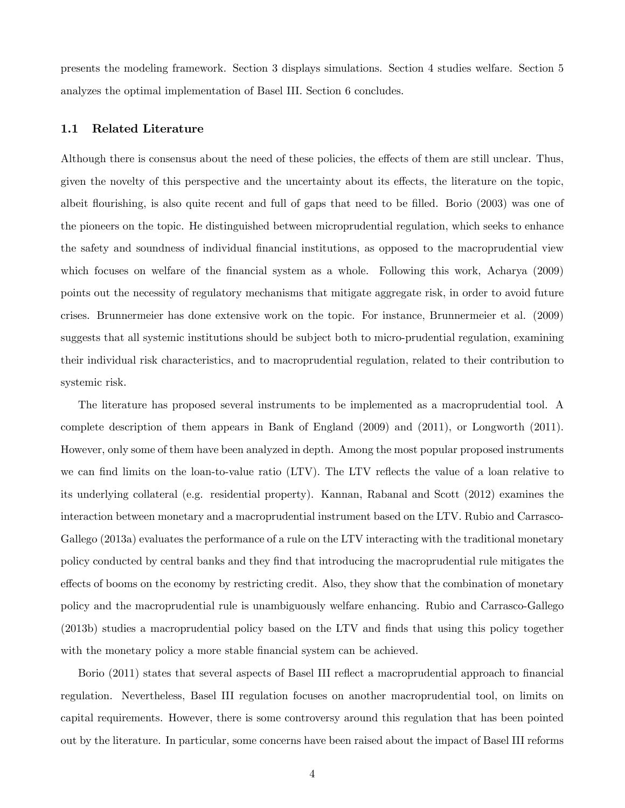presents the modeling framework. Section 3 displays simulations. Section 4 studies welfare. Section 5 analyzes the optimal implementation of Basel III. Section 6 concludes.

#### 1.1 Related Literature

Although there is consensus about the need of these policies, the effects of them are still unclear. Thus, given the novelty of this perspective and the uncertainty about its effects, the literature on the topic, albeit flourishing, is also quite recent and full of gaps that need to be filled. Borio (2003) was one of the pioneers on the topic. He distinguished between microprudential regulation, which seeks to enhance the safety and soundness of individual Önancial institutions, as opposed to the macroprudential view which focuses on welfare of the financial system as a whole. Following this work, Acharya (2009) points out the necessity of regulatory mechanisms that mitigate aggregate risk, in order to avoid future crises. Brunnermeier has done extensive work on the topic. For instance, Brunnermeier et al. (2009) suggests that all systemic institutions should be subject both to micro-prudential regulation, examining their individual risk characteristics, and to macroprudential regulation, related to their contribution to systemic risk.

The literature has proposed several instruments to be implemented as a macroprudential tool. A complete description of them appears in Bank of England (2009) and (2011), or Longworth (2011). However, only some of them have been analyzed in depth. Among the most popular proposed instruments we can find limits on the loan-to-value ratio (LTV). The LTV reflects the value of a loan relative to its underlying collateral (e.g. residential property). Kannan, Rabanal and Scott (2012) examines the interaction between monetary and a macroprudential instrument based on the LTV. Rubio and Carrasco-Gallego (2013a) evaluates the performance of a rule on the LTV interacting with the traditional monetary policy conducted by central banks and they Önd that introducing the macroprudential rule mitigates the effects of booms on the economy by restricting credit. Also, they show that the combination of monetary policy and the macroprudential rule is unambiguously welfare enhancing. Rubio and Carrasco-Gallego (2013b) studies a macroprudential policy based on the LTV and finds that using this policy together with the monetary policy a more stable financial system can be achieved.

Borio (2011) states that several aspects of Basel III reflect a macroprudential approach to financial regulation. Nevertheless, Basel III regulation focuses on another macroprudential tool, on limits on capital requirements. However, there is some controversy around this regulation that has been pointed out by the literature. In particular, some concerns have been raised about the impact of Basel III reforms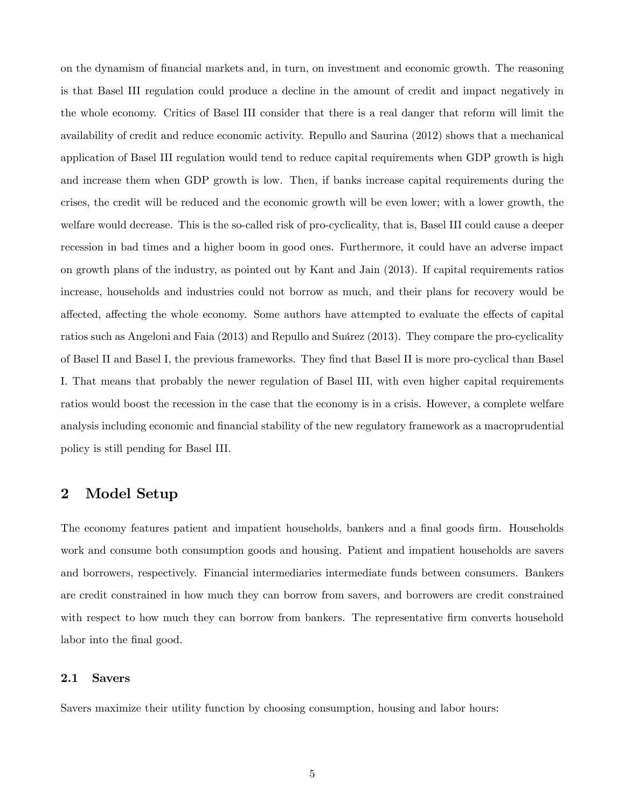on the dynamism of Önancial markets and, in turn, on investment and economic growth. The reasoning is that Basel III regulation could produce a decline in the amount of credit and impact negatively in the whole economy. Critics of Basel III consider that there is a real danger that reform will limit the availability of credit and reduce economic activity. Repullo and Saurina (2012) shows that a mechanical application of Basel III regulation would tend to reduce capital requirements when GDP growth is high and increase them when GDP growth is low. Then, if banks increase capital requirements during the crises, the credit will be reduced and the economic growth will be even lower; with a lower growth, the welfare would decrease. This is the so-called risk of pro-cyclicality, that is, Basel III could cause a deeper recession in bad times and a higher boom in good ones. Furthermore, it could have an adverse impact on growth plans of the industry, as pointed out by Kant and Jain (2013). If capital requirements ratios increase, households and industries could not borrow as much, and their plans for recovery would be affected, affecting the whole economy. Some authors have attempted to evaluate the effects of capital ratios such as Angeloni and Faia (2013) and Repullo and Suárez (2013). They compare the pro-cyclicality of Basel II and Basel I, the previous frameworks. They Önd that Basel II is more pro-cyclical than Basel I. That means that probably the newer regulation of Basel III, with even higher capital requirements ratios would boost the recession in the case that the economy is in a crisis. However, a complete welfare analysis including economic and financial stability of the new regulatory framework as a macroprudential policy is still pending for Basel III.

# 2 Model Setup

The economy features patient and impatient households, bankers and a final goods firm. Households work and consume both consumption goods and housing. Patient and impatient households are savers and borrowers, respectively. Financial intermediaries intermediate funds between consumers. Bankers are credit constrained in how much they can borrow from savers, and borrowers are credit constrained with respect to how much they can borrow from bankers. The representative firm converts household labor into the final good.

#### 2.1 Savers

Savers maximize their utility function by choosing consumption, housing and labor hours: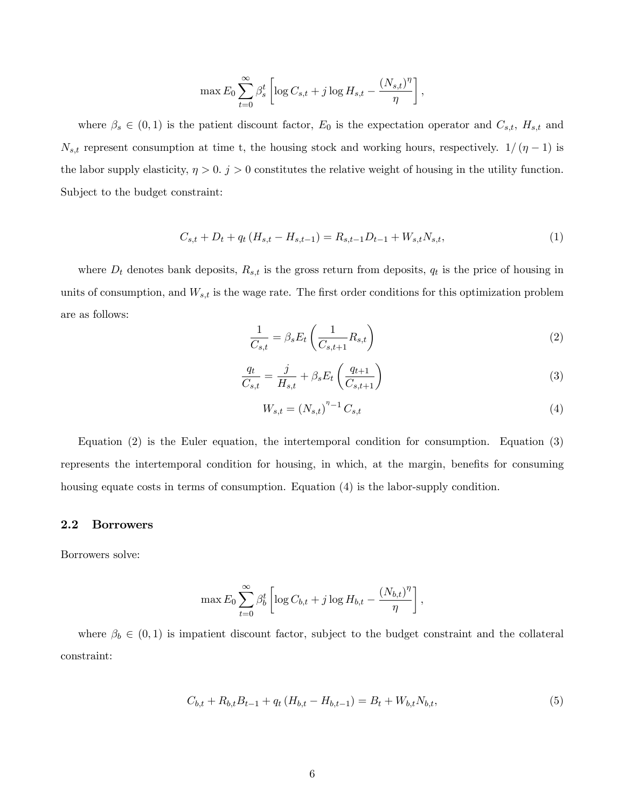$$
\max E_0 \sum_{t=0}^{\infty} \beta_s^t \left[ \log C_{s,t} + j \log H_{s,t} - \frac{(N_{s,t})^{\eta}}{\eta} \right],
$$

where  $\beta_s \in (0,1)$  is the patient discount factor,  $E_0$  is the expectation operator and  $C_{s,t}$ ,  $H_{s,t}$  and  $N_{s,t}$  represent consumption at time t, the housing stock and working hours, respectively.  $1/( \eta - 1)$  is the labor supply elasticity,  $\eta > 0$ .  $j > 0$  constitutes the relative weight of housing in the utility function. Subject to the budget constraint:

$$
C_{s,t} + D_t + q_t (H_{s,t} - H_{s,t-1}) = R_{s,t-1} D_{t-1} + W_{s,t} N_{s,t},
$$
\n(1)

where  $D_t$  denotes bank deposits,  $R_{s,t}$  is the gross return from deposits,  $q_t$  is the price of housing in units of consumption, and  $W_{s,t}$  is the wage rate. The first order conditions for this optimization problem are as follows:

$$
\frac{1}{C_{s,t}} = \beta_s E_t \left( \frac{1}{C_{s,t+1}} R_{s,t} \right)
$$
\n(2)

$$
\frac{q_t}{C_{s,t}} = \frac{j}{H_{s,t}} + \beta_s E_t \left(\frac{q_{t+1}}{C_{s,t+1}}\right)
$$
\n(3)

$$
W_{s,t} = (N_{s,t})^{n-1} C_{s,t}
$$
\n(4)

Equation (2) is the Euler equation, the intertemporal condition for consumption. Equation (3) represents the intertemporal condition for housing, in which, at the margin, benefits for consuming housing equate costs in terms of consumption. Equation (4) is the labor-supply condition.

#### 2.2 Borrowers

Borrowers solve:

$$
\max E_0 \sum_{t=0}^{\infty} \beta_b^t \left[ \log C_{b,t} + j \log H_{b,t} - \frac{(N_{b,t})^{\eta}}{\eta} \right],
$$

where  $\beta_b \in (0,1)$  is impatient discount factor, subject to the budget constraint and the collateral constraint:

$$
C_{b,t} + R_{b,t}B_{t-1} + q_t(H_{b,t} - H_{b,t-1}) = B_t + W_{b,t}N_{b,t},
$$
\n
$$
\tag{5}
$$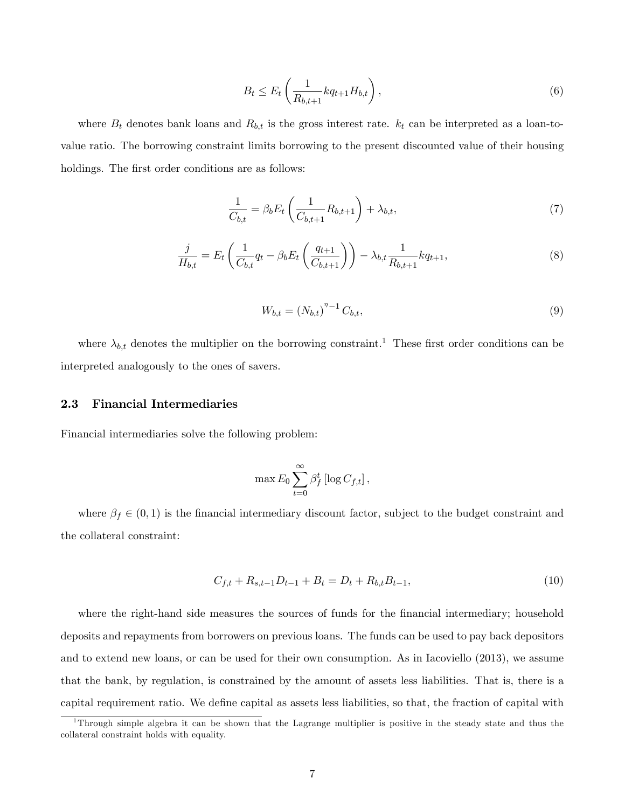$$
B_t \le E_t \left( \frac{1}{R_{b,t+1}} k q_{t+1} H_{b,t} \right),\tag{6}
$$

where  $B_t$  denotes bank loans and  $R_{b,t}$  is the gross interest rate.  $k_t$  can be interpreted as a loan-tovalue ratio. The borrowing constraint limits borrowing to the present discounted value of their housing holdings. The first order conditions are as follows:

$$
\frac{1}{C_{b,t}} = \beta_b E_t \left( \frac{1}{C_{b,t+1}} R_{b,t+1} \right) + \lambda_{b,t},
$$
\n(7)

$$
\frac{j}{H_{b,t}} = E_t \left( \frac{1}{C_{b,t}} q_t - \beta_b E_t \left( \frac{q_{t+1}}{C_{b,t+1}} \right) \right) - \lambda_{b,t} \frac{1}{R_{b,t+1}} k q_{t+1},\tag{8}
$$

$$
W_{b,t} = (N_{b,t})^{n-1} C_{b,t},
$$
\n(9)

where  $\lambda_{b,t}$  denotes the multiplier on the borrowing constraint.<sup>1</sup> These first order conditions can be interpreted analogously to the ones of savers.

#### 2.3 Financial Intermediaries

Financial intermediaries solve the following problem:

$$
\max E_0 \sum_{t=0}^{\infty} \beta_f^t \left[ \log C_{f,t} \right],
$$

where  $\beta_f \in (0,1)$  is the financial intermediary discount factor, subject to the budget constraint and the collateral constraint:

$$
C_{f,t} + R_{s,t-1}D_{t-1} + B_t = D_t + R_{b,t}B_{t-1},
$$
\n(10)

where the right-hand side measures the sources of funds for the financial intermediary; household deposits and repayments from borrowers on previous loans. The funds can be used to pay back depositors and to extend new loans, or can be used for their own consumption. As in Iacoviello (2013), we assume that the bank, by regulation, is constrained by the amount of assets less liabilities. That is, there is a capital requirement ratio. We define capital as assets less liabilities, so that, the fraction of capital with

<sup>1</sup>Through simple algebra it can be shown that the Lagrange multiplier is positive in the steady state and thus the collateral constraint holds with equality.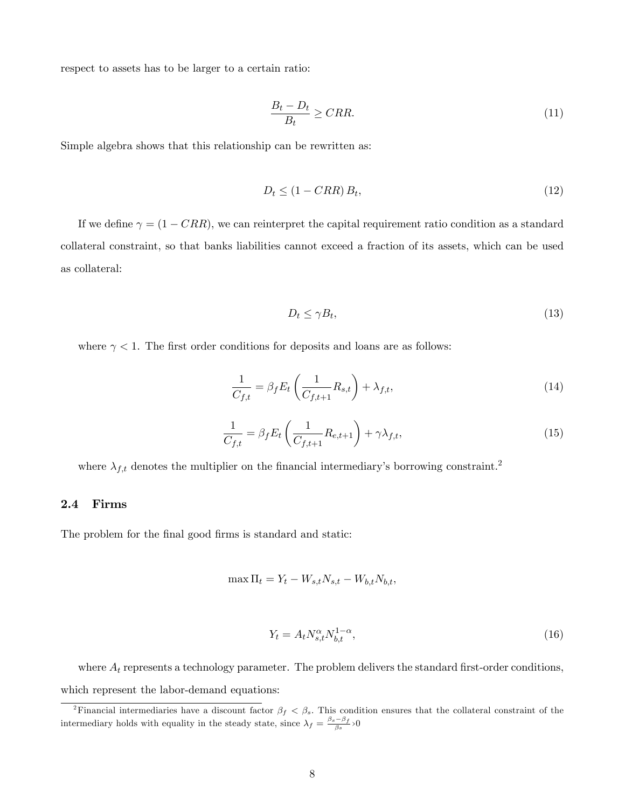respect to assets has to be larger to a certain ratio:

$$
\frac{B_t - D_t}{B_t} \ge CRR.
$$
\n<sup>(11)</sup>

Simple algebra shows that this relationship can be rewritten as:

$$
D_t \le (1 - CRR) B_t,\tag{12}
$$

If we define  $\gamma = (1 - CRR)$ , we can reinterpret the capital requirement ratio condition as a standard collateral constraint, so that banks liabilities cannot exceed a fraction of its assets, which can be used as collateral:

$$
D_t \le \gamma B_t,\tag{13}
$$

where  $\gamma < 1$ . The first order conditions for deposits and loans are as follows:

$$
\frac{1}{C_{f,t}} = \beta_f E_t \left( \frac{1}{C_{f,t+1}} R_{s,t} \right) + \lambda_{f,t},\tag{14}
$$

$$
\frac{1}{C_{f,t}} = \beta_f E_t \left( \frac{1}{C_{f,t+1}} R_{e,t+1} \right) + \gamma \lambda_{f,t},\tag{15}
$$

where  $\lambda_{f,t}$  denotes the multiplier on the financial intermediary's borrowing constraint.<sup>2</sup>

## 2.4 Firms

The problem for the final good firms is standard and static:

$$
\max \Pi_t = Y_t - W_{s,t} N_{s,t} - W_{b,t} N_{b,t},
$$

$$
Y_t = A_t N_{s,t}^{\alpha} N_{b,t}^{1-\alpha},\tag{16}
$$

where  $A_t$  represents a technology parameter. The problem delivers the standard first-order conditions, which represent the labor-demand equations:

<sup>&</sup>lt;sup>2</sup>Financial intermediaries have a discount factor  $\beta_f$  <  $\beta_s$ . This condition ensures that the collateral constraint of the intermediary holds with equality in the steady state, since  $\lambda_f = \frac{\beta_s - \beta_f}{\beta_s} > 0$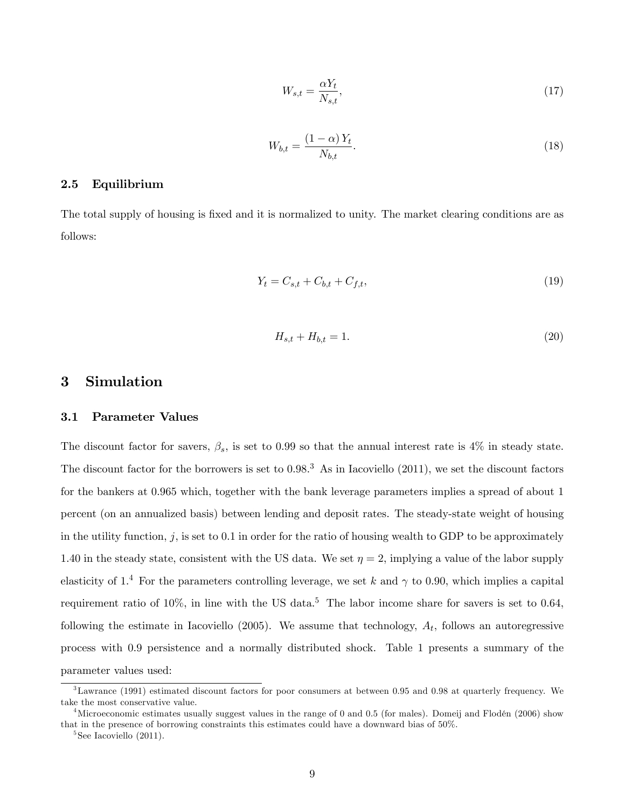$$
W_{s,t} = \frac{\alpha Y_t}{N_{s,t}},\tag{17}
$$

$$
W_{b,t} = \frac{(1 - \alpha)Y_t}{N_{b,t}}.\tag{18}
$$

## 2.5 Equilibrium

The total supply of housing is fixed and it is normalized to unity. The market clearing conditions are as follows:

$$
Y_t = C_{s,t} + C_{b,t} + C_{f,t},\tag{19}
$$

$$
H_{s,t} + H_{b,t} = 1.
$$
\n(20)

# 3 Simulation

#### 3.1 Parameter Values

The discount factor for savers,  $\beta_s$ , is set to 0.99 so that the annual interest rate is 4% in steady state. The discount factor for the borrowers is set to  $0.98<sup>3</sup>$ . As in Iacoviello (2011), we set the discount factors for the bankers at 0.965 which, together with the bank leverage parameters implies a spread of about 1 percent (on an annualized basis) between lending and deposit rates. The steady-state weight of housing in the utility function,  $j$ , is set to 0.1 in order for the ratio of housing wealth to GDP to be approximately 1.40 in the steady state, consistent with the US data. We set  $\eta = 2$ , implying a value of the labor supply elasticity of 1.<sup>4</sup> For the parameters controlling leverage, we set k and  $\gamma$  to 0.90, which implies a capital requirement ratio of  $10\%$ , in line with the US data.<sup>5</sup> The labor income share for savers is set to 0.64, following the estimate in Iacoviello (2005). We assume that technology,  $A_t$ , follows an autoregressive process with 0:9 persistence and a normally distributed shock. Table 1 presents a summary of the parameter values used:

 $3$ Lawrance (1991) estimated discount factors for poor consumers at between 0.95 and 0.98 at quarterly frequency. We take the most conservative value.

<sup>&</sup>lt;sup>4</sup>Microeconomic estimates usually suggest values in the range of 0 and 0.5 (for males). Domeij and Flodén (2006) show that in the presence of borrowing constraints this estimates could have a downward bias of 50%.

<sup>5</sup> See Iacoviello (2011).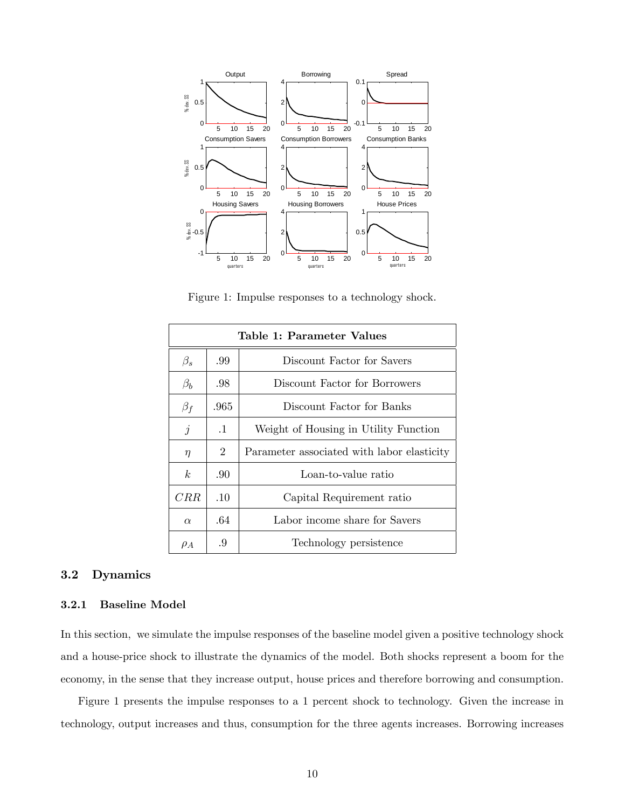

Figure 1: Impulse responses to a technology shock.

| Table 1: Parameter Values |                |                                            |  |  |
|---------------------------|----------------|--------------------------------------------|--|--|
| $\beta_s$                 | .99            | Discount Factor for Savers                 |  |  |
| $\beta_b$                 | .98            | Discount Factor for Borrowers              |  |  |
| $\beta_f$                 | .965           | Discount Factor for Banks                  |  |  |
| $\dot{j}$                 | $\cdot$ 1      | Weight of Housing in Utility Function      |  |  |
| $\eta$                    | $\overline{2}$ | Parameter associated with labor elasticity |  |  |
| k <sub>i</sub>            | .90            | Loan-to-value ratio                        |  |  |
| CRR                       | .10            | Capital Requirement ratio                  |  |  |
| $\alpha$                  | .64            | Labor income share for Savers              |  |  |
| $\rho_A$                  | .9             | Technology persistence                     |  |  |

## 3.2 Dynamics

#### 3.2.1 Baseline Model

In this section, we simulate the impulse responses of the baseline model given a positive technology shock and a house-price shock to illustrate the dynamics of the model. Both shocks represent a boom for the economy, in the sense that they increase output, house prices and therefore borrowing and consumption.

Figure 1 presents the impulse responses to a 1 percent shock to technology. Given the increase in technology, output increases and thus, consumption for the three agents increases. Borrowing increases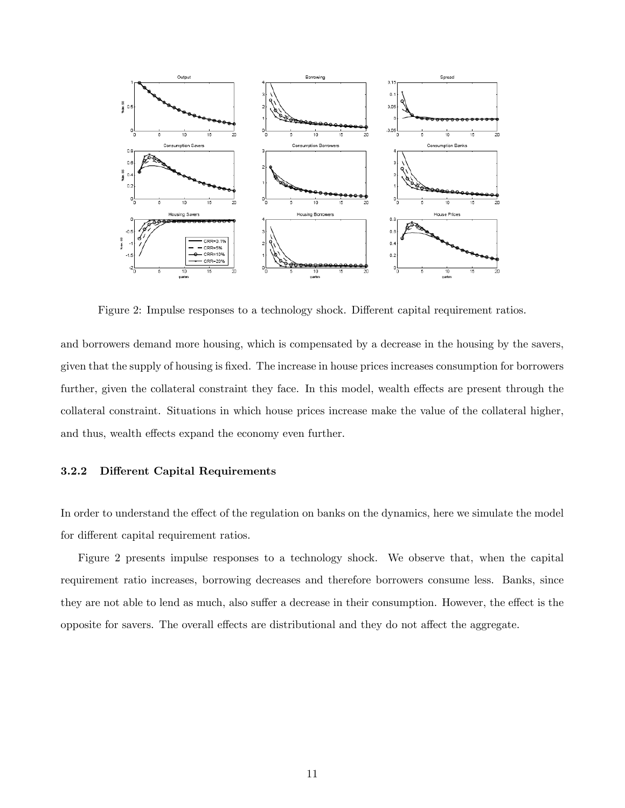

Figure 2: Impulse responses to a technology shock. Different capital requirement ratios.

and borrowers demand more housing, which is compensated by a decrease in the housing by the savers, given that the supply of housing is Öxed. The increase in house prices increases consumption for borrowers further, given the collateral constraint they face. In this model, wealth effects are present through the collateral constraint. Situations in which house prices increase make the value of the collateral higher, and thus, wealth effects expand the economy even further.

#### 3.2.2 Different Capital Requirements

In order to understand the effect of the regulation on banks on the dynamics, here we simulate the model for different capital requirement ratios.

Figure 2 presents impulse responses to a technology shock. We observe that, when the capital requirement ratio increases, borrowing decreases and therefore borrowers consume less. Banks, since they are not able to lend as much, also suffer a decrease in their consumption. However, the effect is the opposite for savers. The overall effects are distributional and they do not affect the aggregate.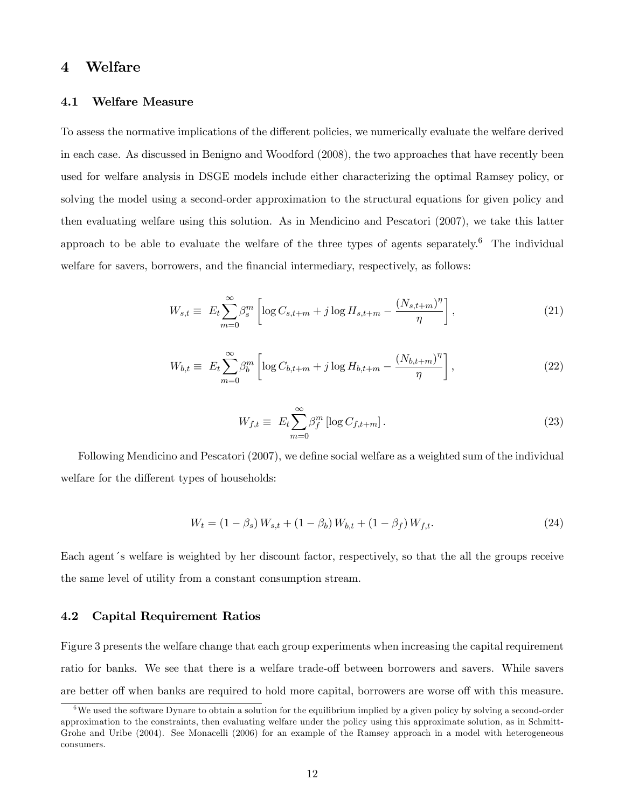## 4 Welfare

#### 4.1 Welfare Measure

To assess the normative implications of the different policies, we numerically evaluate the welfare derived in each case. As discussed in Benigno and Woodford (2008), the two approaches that have recently been used for welfare analysis in DSGE models include either characterizing the optimal Ramsey policy, or solving the model using a second-order approximation to the structural equations for given policy and then evaluating welfare using this solution. As in Mendicino and Pescatori (2007), we take this latter approach to be able to evaluate the welfare of the three types of agents separately.<sup>6</sup> The individual welfare for savers, borrowers, and the financial intermediary, respectively, as follows:

$$
W_{s,t} \equiv E_t \sum_{m=0}^{\infty} \beta_s^m \left[ \log C_{s,t+m} + j \log H_{s,t+m} - \frac{(N_{s,t+m})^{\eta}}{\eta} \right],
$$
 (21)

$$
W_{b,t} \equiv E_t \sum_{m=0}^{\infty} \beta_b^m \left[ \log C_{b,t+m} + j \log H_{b,t+m} - \frac{(N_{b,t+m})^{\eta}}{\eta} \right],
$$
 (22)

$$
W_{f,t} \equiv E_t \sum_{m=0}^{\infty} \beta_f^m \left[ \log C_{f,t+m} \right]. \tag{23}
$$

Following Mendicino and Pescatori (2007), we define social welfare as a weighted sum of the individual welfare for the different types of households:

$$
W_t = (1 - \beta_s) W_{s,t} + (1 - \beta_b) W_{b,t} + (1 - \beta_f) W_{f,t}.
$$
\n(24)

Each agent's welfare is weighted by her discount factor, respectively, so that the all the groups receive the same level of utility from a constant consumption stream.

## 4.2 Capital Requirement Ratios

Figure 3 presents the welfare change that each group experiments when increasing the capital requirement ratio for banks. We see that there is a welfare trade-off between borrowers and savers. While savers are better off when banks are required to hold more capital, borrowers are worse off with this measure.

 $6$ We used the software Dynare to obtain a solution for the equilibrium implied by a given policy by solving a second-order approximation to the constraints, then evaluating welfare under the policy using this approximate solution, as in Schmitt-Grohe and Uribe (2004). See Monacelli (2006) for an example of the Ramsey approach in a model with heterogeneous consumers.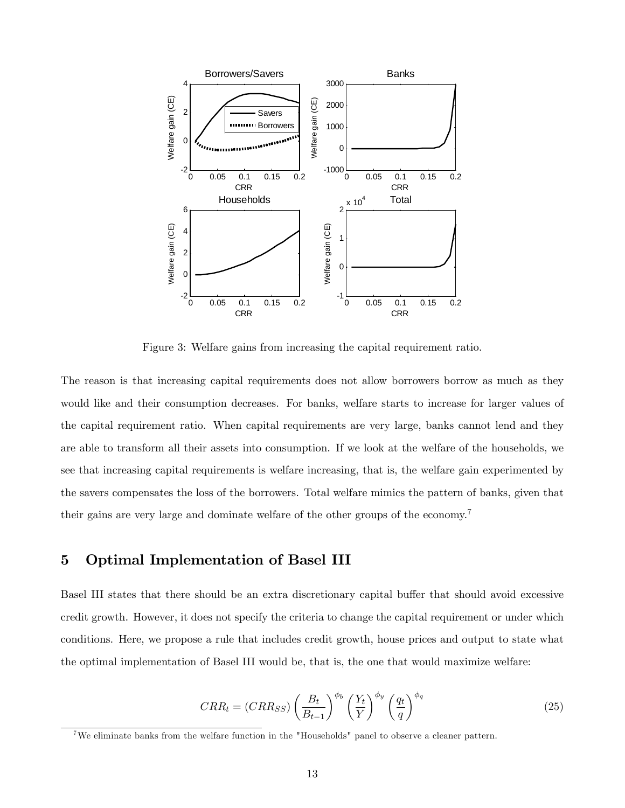

Figure 3: Welfare gains from increasing the capital requirement ratio.

The reason is that increasing capital requirements does not allow borrowers borrow as much as they would like and their consumption decreases. For banks, welfare starts to increase for larger values of the capital requirement ratio. When capital requirements are very large, banks cannot lend and they are able to transform all their assets into consumption. If we look at the welfare of the households, we see that increasing capital requirements is welfare increasing, that is, the welfare gain experimented by the savers compensates the loss of the borrowers. Total welfare mimics the pattern of banks, given that their gains are very large and dominate welfare of the other groups of the economy.<sup>7</sup>

# 5 Optimal Implementation of Basel III

Basel III states that there should be an extra discretionary capital buffer that should avoid excessive credit growth. However, it does not specify the criteria to change the capital requirement or under which conditions. Here, we propose a rule that includes credit growth, house prices and output to state what the optimal implementation of Basel III would be, that is, the one that would maximize welfare:

$$
CRR_t = (CRR_{SS}) \left(\frac{B_t}{B_{t-1}}\right)^{\phi_b} \left(\frac{Y_t}{Y}\right)^{\phi_y} \left(\frac{q_t}{q}\right)^{\phi_q}
$$
\n(25)

<sup>&</sup>lt;sup>7</sup>We eliminate banks from the welfare function in the "Households" panel to observe a cleaner pattern.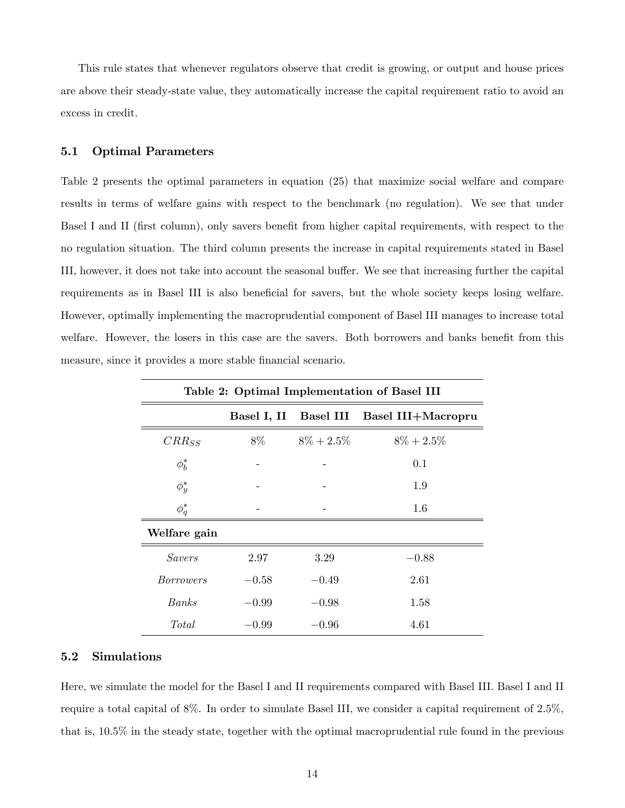This rule states that whenever regulators observe that credit is growing, or output and house prices are above their steady-state value, they automatically increase the capital requirement ratio to avoid an excess in credit.

#### 5.1 Optimal Parameters

Table 2 presents the optimal parameters in equation (25) that maximize social welfare and compare results in terms of welfare gains with respect to the benchmark (no regulation). We see that under Basel I and II (first column), only savers benefit from higher capital requirements, with respect to the no regulation situation. The third column presents the increase in capital requirements stated in Basel III, however, it does not take into account the seasonal buffer. We see that increasing further the capital requirements as in Basel III is also beneficial for savers, but the whole society keeps losing welfare. However, optimally implementing the macroprudential component of Basel III manages to increase total welfare. However, the losers in this case are the savers. Both borrowers and banks benefit from this measure, since it provides a more stable financial scenario.

| Table 2: Optimal Implementation of Basel III |         |               |                                          |  |  |
|----------------------------------------------|---------|---------------|------------------------------------------|--|--|
|                                              |         |               | Basel I, II Basel III Basel III+Macropru |  |  |
| $CRR_{SS}$                                   | 8\%     | $8\% + 2.5\%$ | $8\% + 2.5\%$                            |  |  |
| $\phi_h^*$                                   |         |               | 0.1                                      |  |  |
| $\phi_y^*$                                   |         |               | 1.9                                      |  |  |
| $\phi_q^*$                                   |         |               | 1.6                                      |  |  |
| Welfare gain                                 |         |               |                                          |  |  |
| <i>Savers</i>                                | 2.97    | 3.29          | $-0.88$                                  |  |  |
| <i>Borrowers</i>                             | $-0.58$ | $-0.49$       | 2.61                                     |  |  |
| <b>Banks</b>                                 | $-0.99$ | $-0.98$       | 1.58                                     |  |  |
| Total                                        | $-0.99$ | $-0.96$       | 4.61                                     |  |  |

## 5.2 Simulations

Here, we simulate the model for the Basel I and II requirements compared with Basel III. Basel I and II require a total capital of 8%. In order to simulate Basel III, we consider a capital requirement of 2.5%, that is, 10.5% in the steady state, together with the optimal macroprudential rule found in the previous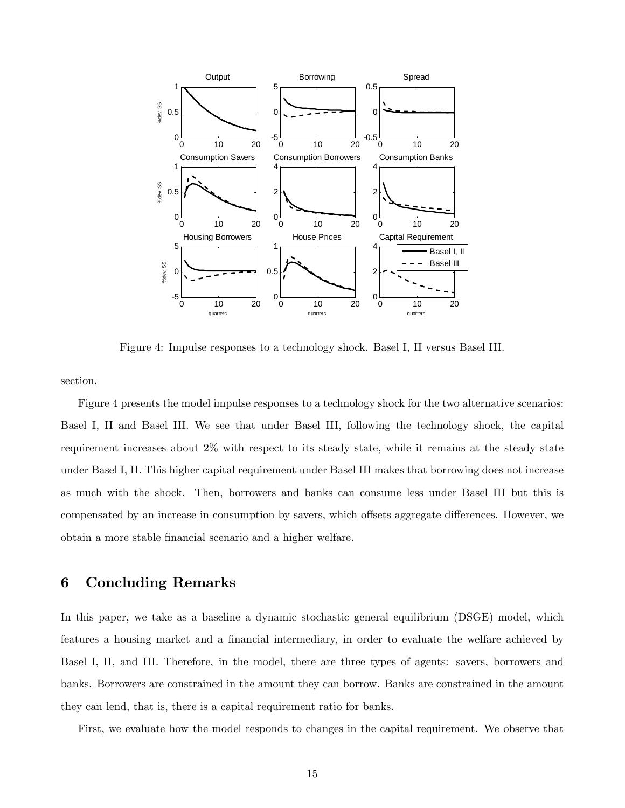

Figure 4: Impulse responses to a technology shock. Basel I, II versus Basel III.

section.

Figure 4 presents the model impulse responses to a technology shock for the two alternative scenarios: Basel I, II and Basel III. We see that under Basel III, following the technology shock, the capital requirement increases about 2% with respect to its steady state, while it remains at the steady state under Basel I, II. This higher capital requirement under Basel III makes that borrowing does not increase as much with the shock. Then, borrowers and banks can consume less under Basel III but this is compensated by an increase in consumption by savers, which offsets aggregate differences. However, we obtain a more stable Önancial scenario and a higher welfare.

# 6 Concluding Remarks

In this paper, we take as a baseline a dynamic stochastic general equilibrium (DSGE) model, which features a housing market and a financial intermediary, in order to evaluate the welfare achieved by Basel I, II, and III. Therefore, in the model, there are three types of agents: savers, borrowers and banks. Borrowers are constrained in the amount they can borrow. Banks are constrained in the amount they can lend, that is, there is a capital requirement ratio for banks.

First, we evaluate how the model responds to changes in the capital requirement. We observe that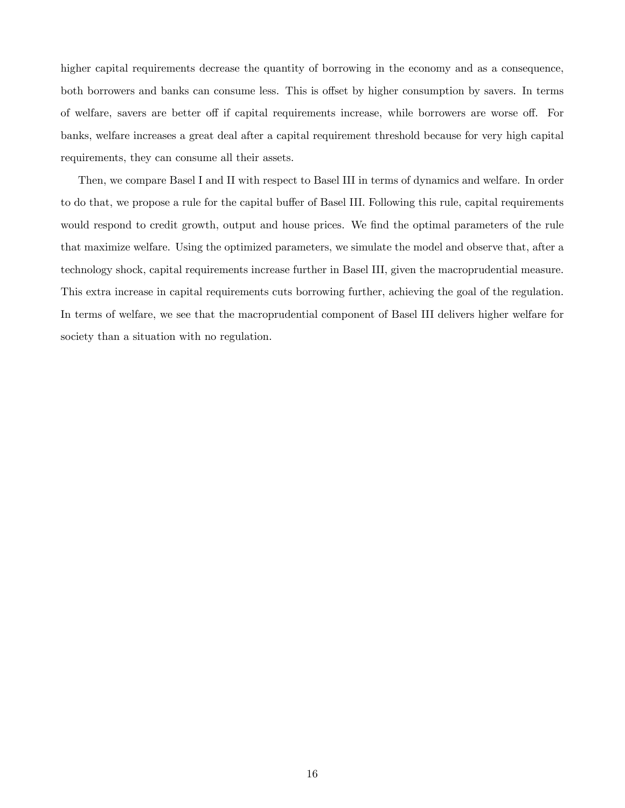higher capital requirements decrease the quantity of borrowing in the economy and as a consequence, both borrowers and banks can consume less. This is offset by higher consumption by savers. In terms of welfare, savers are better off if capital requirements increase, while borrowers are worse off. For banks, welfare increases a great deal after a capital requirement threshold because for very high capital requirements, they can consume all their assets.

Then, we compare Basel I and II with respect to Basel III in terms of dynamics and welfare. In order to do that, we propose a rule for the capital buffer of Basel III. Following this rule, capital requirements would respond to credit growth, output and house prices. We find the optimal parameters of the rule that maximize welfare. Using the optimized parameters, we simulate the model and observe that, after a technology shock, capital requirements increase further in Basel III, given the macroprudential measure. This extra increase in capital requirements cuts borrowing further, achieving the goal of the regulation. In terms of welfare, we see that the macroprudential component of Basel III delivers higher welfare for society than a situation with no regulation.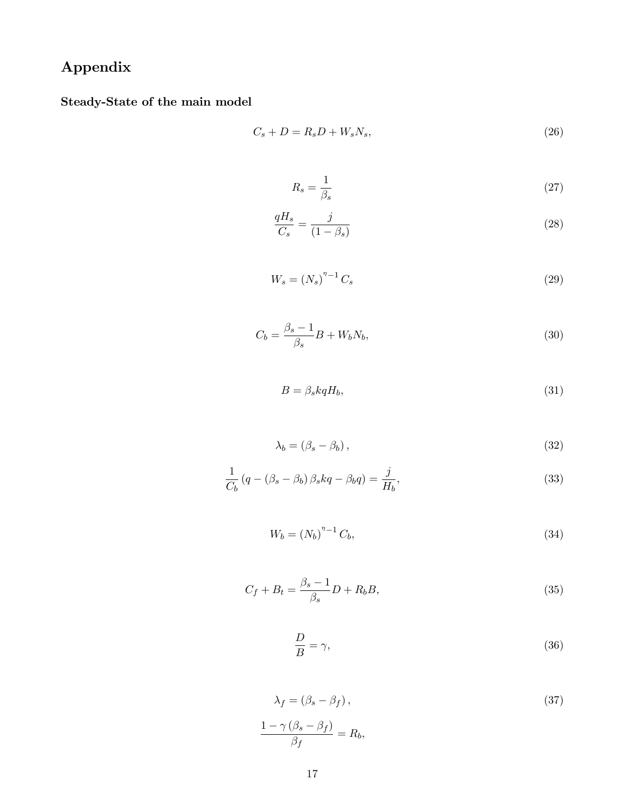# Appendix

Steady-State of the main model

$$
C_s + D = R_s D + W_s N_s,\t\t(26)
$$

$$
R_s = \frac{1}{\beta_s} \tag{27}
$$

$$
\frac{qH_s}{C_s} = \frac{j}{(1-\beta_s)}\tag{28}
$$

$$
W_s = \left(N_s\right)^{\eta - 1} C_s \tag{29}
$$

$$
C_b = \frac{\beta_s - 1}{\beta_s} B + W_b N_b,\tag{30}
$$

$$
B = \beta_s k q H_b,\tag{31}
$$

$$
\lambda_b = (\beta_s - \beta_b),\tag{32}
$$

$$
\frac{1}{C_b} \left( q - \left( \beta_s - \beta_b \right) \beta_s kq - \beta_b q \right) = \frac{j}{H_b},\tag{33}
$$

$$
W_b = (N_b)^{n-1} C_b,\tag{34}
$$

$$
C_f + B_t = \frac{\beta_s - 1}{\beta_s} D + R_b B,\tag{35}
$$

$$
\frac{D}{B} = \gamma,\tag{36}
$$

$$
\lambda_f = (\beta_s - \beta_f),
$$
\n
$$
\frac{1 - \gamma (\beta_s - \beta_f)}{\beta_f} = R_b,
$$
\n(37)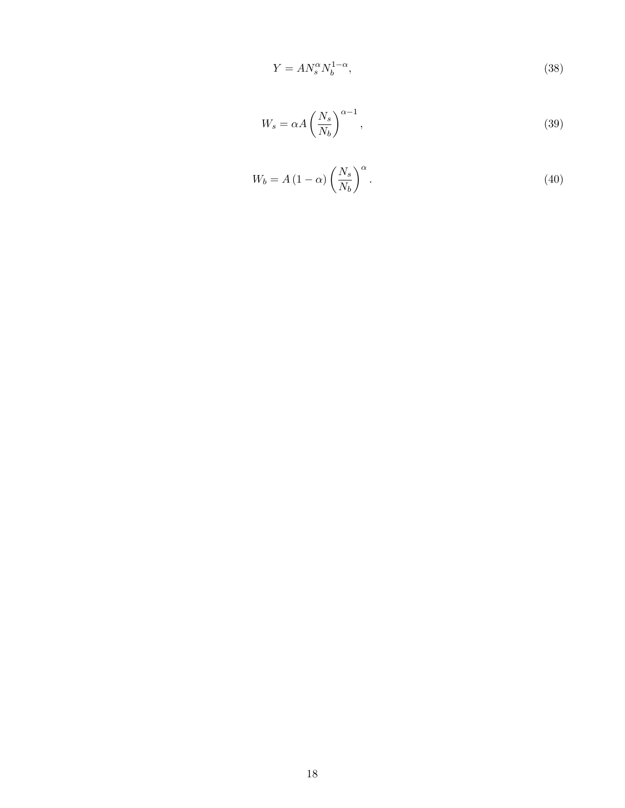$$
Y = A N_s^{\alpha} N_b^{1-\alpha},\tag{38}
$$

$$
W_s = \alpha A \left(\frac{N_s}{N_b}\right)^{\alpha - 1},\tag{39}
$$

$$
W_b = A \left( 1 - \alpha \right) \left( \frac{N_s}{N_b} \right)^{\alpha} . \tag{40}
$$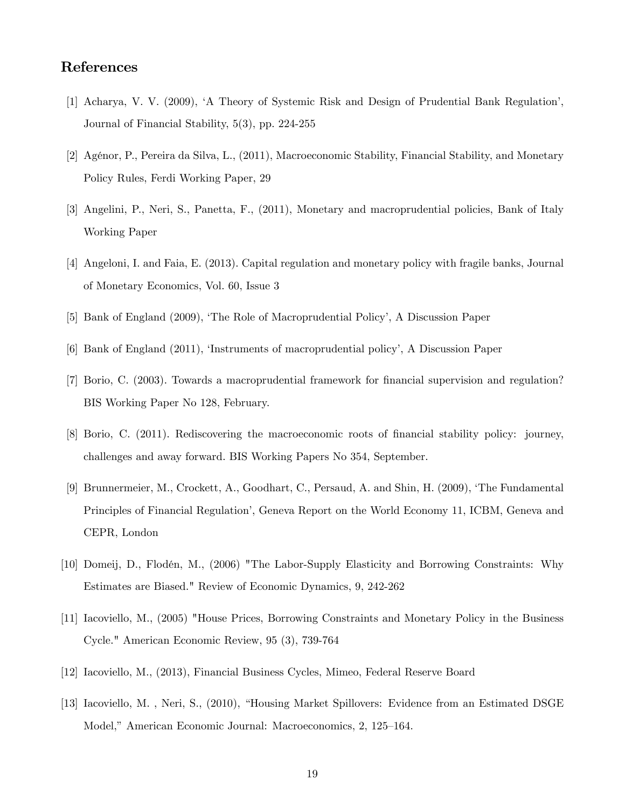# References

- [1] Acharya, V. V. (2009), ëA Theory of Systemic Risk and Design of Prudential Bank Regulationí, Journal of Financial Stability, 5(3), pp. 224-255
- [2] Agénor, P., Pereira da Silva, L., (2011), Macroeconomic Stability, Financial Stability, and Monetary Policy Rules, Ferdi Working Paper, 29
- [3] Angelini, P., Neri, S., Panetta, F., (2011), Monetary and macroprudential policies, Bank of Italy Working Paper
- [4] Angeloni, I. and Faia, E. (2013). Capital regulation and monetary policy with fragile banks, Journal of Monetary Economics, Vol. 60, Issue 3
- [5] Bank of England (2009), ëThe Role of Macroprudential Policyí, A Discussion Paper
- [6] Bank of England (2011), 'Instruments of macroprudential policy', A Discussion Paper
- [7] Borio, C. (2003). Towards a macroprudential framework for financial supervision and regulation? BIS Working Paper No 128, February.
- [8] Borio, C. (2011). Rediscovering the macroeconomic roots of Önancial stability policy: journey, challenges and away forward. BIS Working Papers No 354, September.
- [9] Brunnermeier, M., Crockett, A., Goodhart, C., Persaud, A. and Shin, H. (2009), ëThe Fundamental Principles of Financial Regulation<sup>'</sup>, Geneva Report on the World Economy 11, ICBM, Geneva and CEPR, London
- [10] Domeij, D., Flodén, M., (2006) "The Labor-Supply Elasticity and Borrowing Constraints: Why Estimates are Biased." Review of Economic Dynamics, 9, 242-262
- [11] Iacoviello, M., (2005) "House Prices, Borrowing Constraints and Monetary Policy in the Business Cycle." American Economic Review, 95 (3), 739-764
- [12] Iacoviello, M., (2013), Financial Business Cycles, Mimeo, Federal Reserve Board
- [13] Iacoviello, M., Neri, S., (2010), "Housing Market Spillovers: Evidence from an Estimated DSGE Model," American Economic Journal: Macroeconomics, 2, 125–164.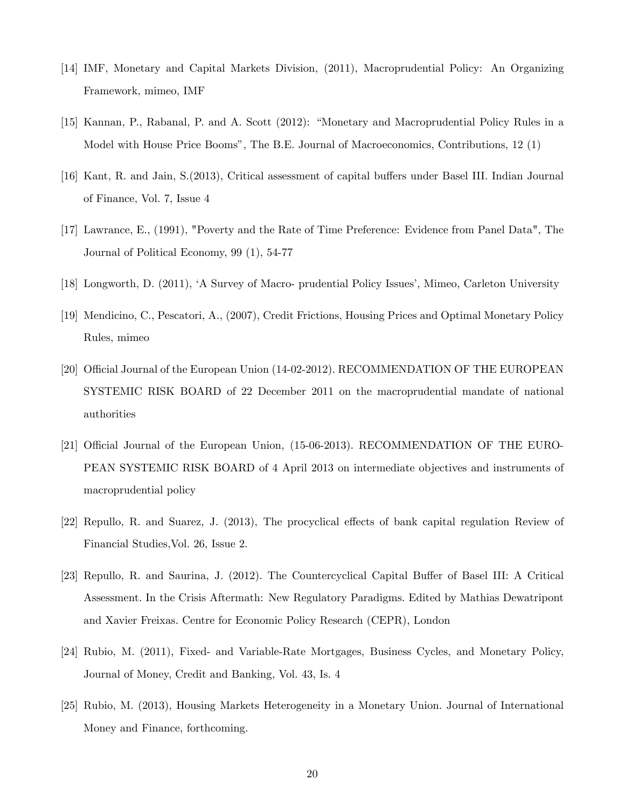- [14] IMF, Monetary and Capital Markets Division, (2011), Macroprudential Policy: An Organizing Framework, mimeo, IMF
- [15] Kannan, P., Rabanal, P. and A. Scott (2012): "Monetary and Macroprudential Policy Rules in a Model with House Price Boomsî, The B.E. Journal of Macroeconomics, Contributions, 12 (1)
- [16] Kant, R. and Jain, S.(2013), Critical assessment of capital buffers under Basel III. Indian Journal of Finance, Vol. 7, Issue 4
- [17] Lawrance, E., (1991), "Poverty and the Rate of Time Preference: Evidence from Panel Data", The Journal of Political Economy, 99 (1), 54-77
- [18] Longworth, D. (2011), 'A Survey of Macro- prudential Policy Issues', Mimeo, Carleton University
- [19] Mendicino, C., Pescatori, A., (2007), Credit Frictions, Housing Prices and Optimal Monetary Policy Rules, mimeo
- [20] Official Journal of the European Union (14-02-2012). RECOMMENDATION OF THE EUROPEAN SYSTEMIC RISK BOARD of 22 December 2011 on the macroprudential mandate of national authorities
- [21] Official Journal of the European Union, (15-06-2013). RECOMMENDATION OF THE EURO-PEAN SYSTEMIC RISK BOARD of 4 April 2013 on intermediate objectives and instruments of macroprudential policy
- [22] Repullo, R. and Suarez, J. (2013), The procyclical effects of bank capital regulation Review of Financial Studies,Vol. 26, Issue 2.
- [23] Repullo, R. and Saurina, J. (2012). The Countercyclical Capital Buffer of Basel III: A Critical Assessment. In the Crisis Aftermath: New Regulatory Paradigms. Edited by Mathias Dewatripont and Xavier Freixas. Centre for Economic Policy Research (CEPR), London
- [24] Rubio, M. (2011), Fixed- and Variable-Rate Mortgages, Business Cycles, and Monetary Policy, Journal of Money, Credit and Banking, Vol. 43, Is. 4
- [25] Rubio, M. (2013), Housing Markets Heterogeneity in a Monetary Union. Journal of International Money and Finance, forthcoming.